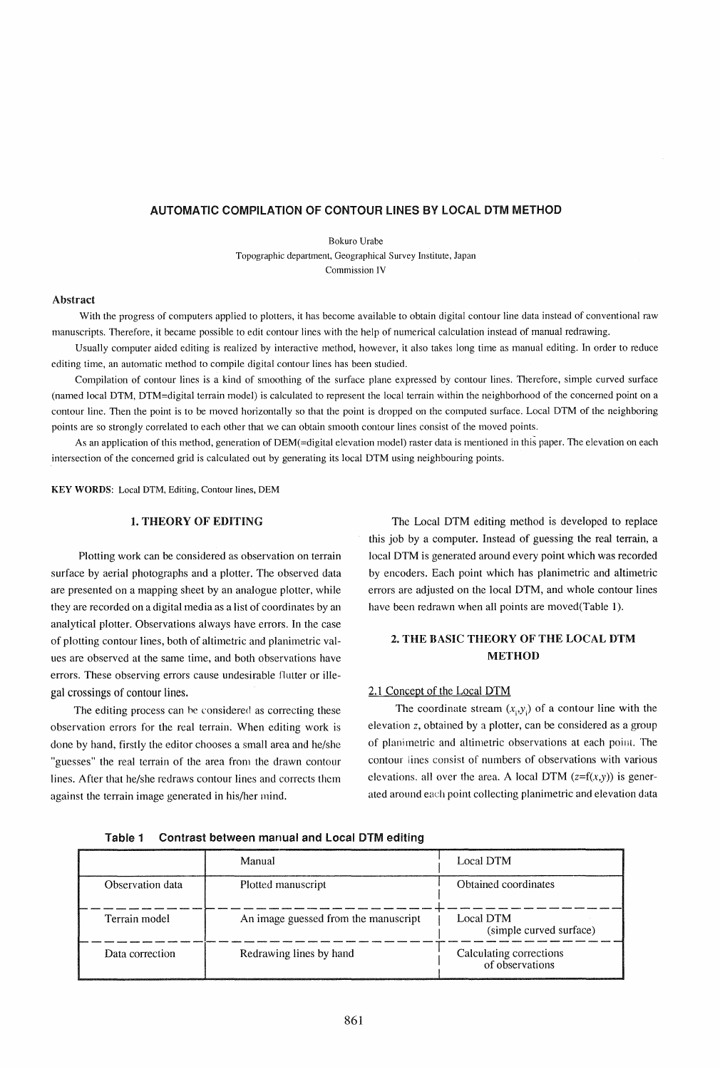## AUTOMATIC COMPILATION OF CONTOUR LINES BY LOCAL DTM METHOD

Bokuro Urabe Topographic department, Geographical Survey Institute, Japan Commission IV

### Abstract

With the progress of computers applied to plotters, it has become available to obtain digital contour line data instead of conventional raw manuscripts. Therefore, it became possible to edit contour lines with the help of numerical calculation instead of manual redrawing.

Usually computer aided editing is realized by interactive method, however, it also takes long time as manual editing. In order to reduce editing time, an automatic method to compile digital contour lines has been studied.

Compilation of contour lines is a kind of smoothing of the surface plane expressed by contour lines. Therefore, simple curved surface (named local DTM, DTM=digital terrain model) is calculated to represent the local terrain within the neighborhood of the concerned point on a contour line. Then the point is to be moved horizontally so that the point is dropped on the computed surface. Local DTM of the neighboring points are so strongly correlated to each other that we can obtain smooth contour lines consist of the moved points.

As an application of this method, generation of DEM(=digital elevation model) raster data is mentioned in this paper. The elevation on each intersection of the concemed grid is calculated out by generating its local DTM using neighbouring points.

KEY WORDS: Local DTM, Editing, Contour lines, DEM

## 1. THEORY OF EDITING

Plotting work can be considered as observation on terrain surface by aerial photographs and a plotter. The observed data are presented on a mapping sheet by an analogue plotter, while they are recorded on a digital media as a list of coordinates by an analytical plotter. Observations always have errors. In the case of plotting contour lines, both of allimetric and planimetric values are observed at the same time, and both observations have errors. These observing errors cause undesirable Ilutter or illegal crossings of contour lines.

The editing process can he considered as correcting these observation errors for the real terrain. When editing work is done by hand, firstly the editor chooses a small area and he/she "guesses" the real terrain of the area from the drawn contour lines. After that he/she redraws contour lines and corrects them against the terrain image generated in his/her mind.

The Local DTM editing method is developed to replace this job by a computer. Instead of guessing the real terrain, a local DTM is generated around every point which was recorded by encoders. Each point which has planimetric and altimetric errors are adjusted on the local DTM, and whole contour lines have been redrawn when all points are moved(Table 1).

# 2. THE BASIC THEORY OF THE LOCAL DTM **METHOD**

### 2.1 Concept of the Local DTM

The coordinate stream  $(x_i, y_i)$  of a contour line with the elevation z, obtained by a plotter, can be considered as a group of planimetric and altimetric observations at each point. The contour iines consist of numbers of observations with various elevations. all over the area. A local DTM ( $z=f(x,y)$ ) is generated around each point collecting planimetric and elevation data

|                  | Manual                               | Local DTM                                  |
|------------------|--------------------------------------|--------------------------------------------|
| Observation data | Plotted manuscript                   | Obtained coordinates                       |
| Terrain model    | An image guessed from the manuscript | Local DTM<br>(simple curved surface)       |
| Data correction  | Redrawing lines by hand              | Calculating corrections<br>of observations |

Table 1 Contrast between manual and local DTM editing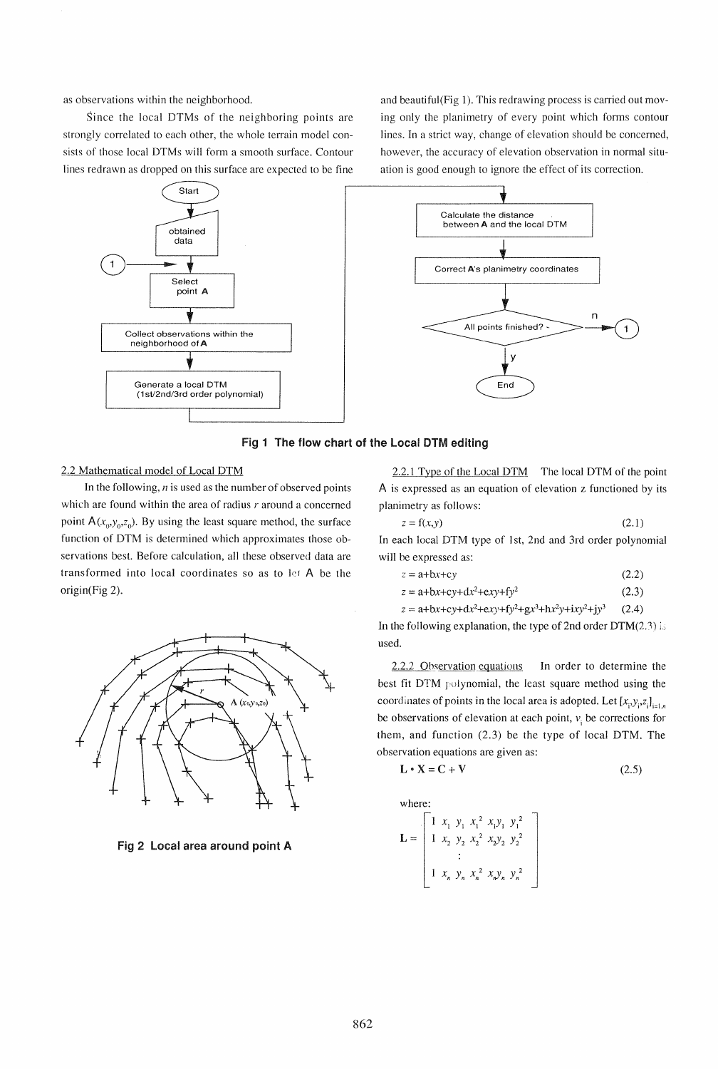as observations within the neighborhood.

Since the local DTMs of the neighboring points are strongly correlated to each other, the whole terrain model consists of those local DTMs will form a smooth surface. Contour lines redrawn as dropped on this surface are expected to be fine and beautiful(Fig 1). This redrawing process is carried out moving only the planimetry of every point which forms contour lines. In a strict way, change of elevation should be concerned, however, the accuracy of elevation observation in normal situation is good enough to ignore the effect of its correction.





2.2 Mathematical model of Local DTM

In the following,  $n$  is used as the number of observed points which are found within the area of radius *r* around a concerned point  $A(x_0, y_0, z_0)$ . By using the least square method, the surface function of DTM is determined which approximates those observations best. Before calculation, all these observed data are transformed into local coordinates so as to let A be the origin(Fig 2).



Fig 2 Local area around point A

2.2.1 Type of the Local DTM The local DTM of the point A is expressed as an equation of elevation z functioned by its planimetry as follows:

| $z = f(x, y)$ |  |  | (2.1) |
|---------------|--|--|-------|
|               |  |  |       |

In each local DTM type of 1st, 2nd and 3rd order polynomial will be expressed as:

| $z = a+bx+cy$ |  |                 | (2.2) |
|---------------|--|-----------------|-------|
|               |  | <b>ALC: YES</b> |       |

 $z = a + bx + cy + dx^2 + exy + fy^2$ (2.3)

 $z = a + bx + cy + dx^2 + exy + fy^2 + gx^3 + hx^2y + ixy^2 + jy^3$  (2.4) In the following explanation, the type of 2nd order  $DTM(2.3)$  is used.

 $2.2.2$  Observation equations In order to determine the best fit DTM polynomial, the least square method using the coordinates of points in the local area is adopted. Let  $[x_i, y_i, z_j]_{i=1,n}$ be observations of elevation at each point,  $v_i$  be corrections for them, and function (2.3) be the type of local DTM. The observation equations are given as:

$$
\mathbf{L} \cdot \mathbf{X} = \mathbf{C} + \mathbf{V} \tag{2.5}
$$

where:

XI *Y*I *Xl 2 XIY I yl2 x2 Y2 X2 2 X2Y2 y22*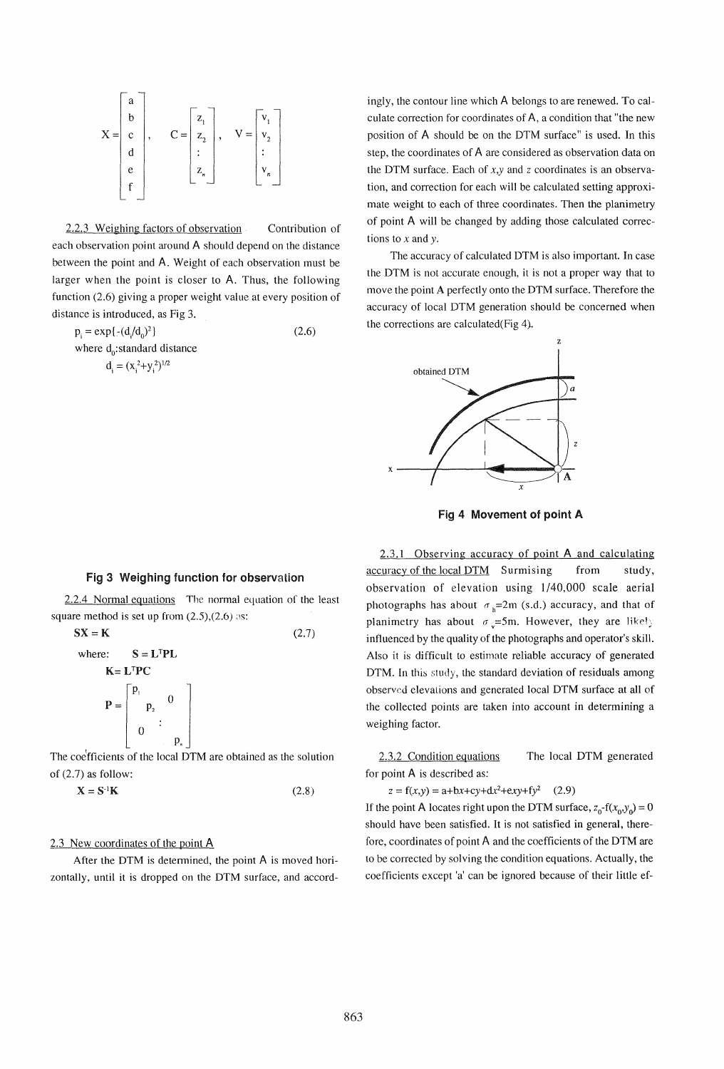$$
X = \begin{bmatrix} a \\ b \\ c \\ d \\ e \\ f \end{bmatrix}, \qquad C = \begin{bmatrix} z_1 \\ z_2 \\ \vdots \\ z_n \end{bmatrix}, \qquad V = \begin{bmatrix} v_1 \\ v_2 \\ \vdots \\ v_n \end{bmatrix}
$$

2.2.3 Weighing factors of observation Contribution of each observation point around A should depend on the distance between the point and A. Weight of each observation must be larger when the point is closer to A. Thus, the following function (2.6) giving a proper weight value at every position of distance is introduced, as Fig 3.

 $p_i = exp\{- (d/d_0)^2\}$  (2.6) where  $d_0$ : standard distance  $d_i = (x_i^2+y_i^2)^{1/2}$ 

## Fig 3 Weighing function for observation

2.2.4 Normal equations The normal equation of the least square method is set up from  $(2.5),(2.6)$  as:

$$
SX = K
$$
 (2.7)  
where:  $S = L^{T}PL$   

$$
K = L^{T}PC
$$
  

$$
P = \begin{bmatrix} p_{1} & 0 \\ p_{2} & 0 \\ 0 & \vdots \\ 0 & \vdots \end{bmatrix}
$$

The coefficients of the local DTM are obtained as the solution of (2.7) as follow:

 $X = S^{-1}K$  (2.8)

# 2.3 New coordinates of the point A

After the DTM is determined, the point A is moved horizontally, until it is dropped on the DTM surface, and accordingly, the contour line which A belongs to are renewed. To calculate correction for coordinates of A, a condition that "the new position of A should be on the DTM surface" is used. In this step, the coordinates of A are considered as observation data on the DTM surface. Each of  $x, y$  and z coordinates is an observation, and correction for each will be calculated setting approximate weight to each of three coordinates. Then the planimetry of point A will be changed by adding those calculated corrections to  $x$  and  $y$ .

The accuracy of calculated DTM is also important. In case the DTM is not accurate enough, it is not a proper way that to move the point A perfectly onto the DTM surface. Therefore the accuracy of local DTM generation should be concerned when the corrections are calculated(Fig 4).



Fig 4 Movement of point A

2.3.1 Observing accuracy of point A and calculating accuracy of the local DTM Surmising from study, observation of elevation using 1/40,000 scale aerial photographs has about  $\sigma_h=2m$  (s.d.) accuracy, and that of planimetry has about  $\sigma_v=5m$ . However, they are likely influenced by the quality of the photographs and operator's skill. Also it is difficult to estimate reliable accuracy of generated DTM. In this study, the standard deviation of residuals among observed elevations and generated local DTM surface at all of the collected points are taken into account in determining a weighing factor.

2.3.2 Condition equations The local DTM generated for point A is described as:

 $z = f(x,y) = a + bx + cy + dx^2 + exy + fy^2$  (2.9)

If the point A locates right upon the DTM surface,  $z_0$ -f( $x_0, y_0$ ) = 0 should have been satisfied. It is not satisfied in general, therefore, coordinates of point A and the coefficients of the DTM are to be corrected by solving the condition equations. Actually, the coefficients except 'a' can be ignored because of their little ef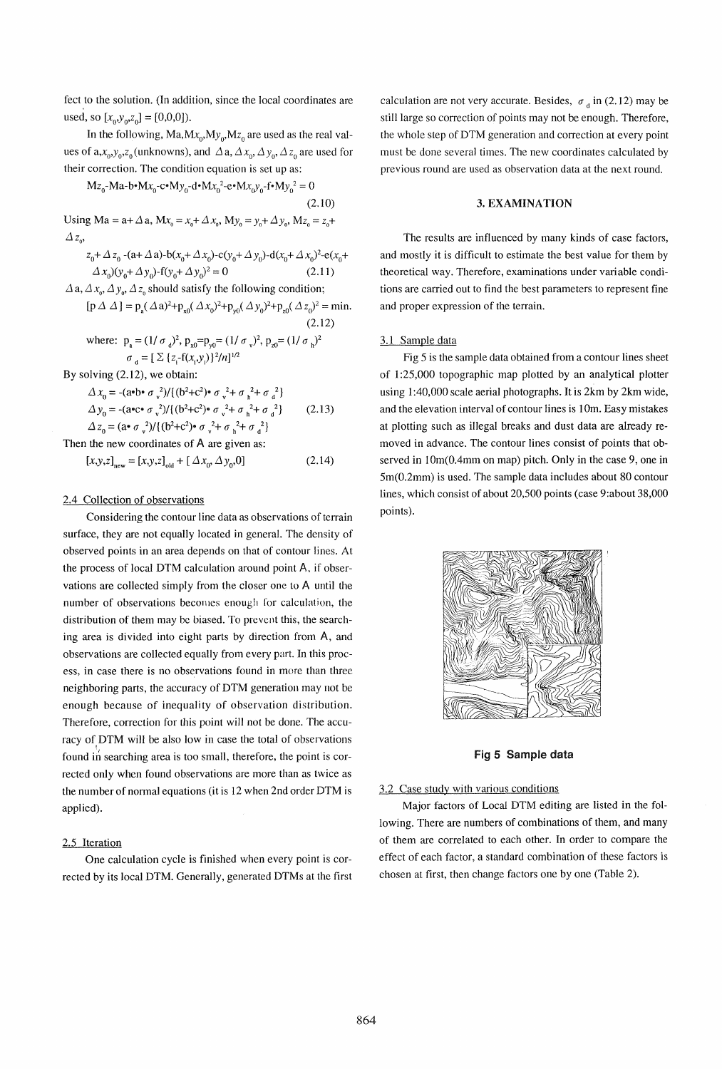fect to the solution. (In addition, since the local coordinates are used, so  $[x_0, y_0, z_0] = [0, 0, 0]$ .

In the following,  $Ma, Mx_0, My_0, Mz_0$  are used as the real values of  $a, x_0, y_0, z_0$  (unknowns), and  $\Delta a, \Delta x_0, \Delta y_0, \Delta z_0$  are used for their correction. The condition equation is set up as:

 $Mz_0-Ma-b\cdot Mx_0-c\cdot My_0-d\cdot Mx_0^2-e\cdot Mx_0y_0-f\cdot My_0^2=0$ (2.10) Using Ma =  $a + \Delta a$ , Mx<sub>o</sub> =  $x_0 + \Delta x_0$ , My<sub>o</sub> =  $y_0 + \Delta y_0$ , Mz<sub>o</sub> =  $z_0 + \Delta x_0$  $\Delta z_{\alpha}$  $z_0 + \Delta z_0$  -(a+  $\Delta$  a)-b( $x_0 + \Delta x_0$ )-c( $y_0 + \Delta y_0$ )-d( $x_0 + \Delta x_0$ )<sup>2</sup>-e( $x_0 + \Delta x_0$ )( $y_0 + \Delta y_0$ )-f( $y_0 + \Delta y_0$ )<sup>2</sup> = 0 (2.11)  $\Delta$  a,  $\Delta$   $x_{0}$ ,  $\Delta$   $y_{0}$ ,  $\Delta$   $z_{0}$  should satisfy the following condition;  $[p \Delta \Delta] = p_a (\Delta a)^2 + p_{x0} (\Delta x_0)^2 + p_{y0} (\Delta y_0)^2 + p_{z0} (\Delta z_0)^2 = \text{min.}$ (2.12) where:  $p_a = (1/\sigma_d)^2$ ,  $p_{x0} = p_{y0} = (1/\sigma_y)^2$ ,  $p_{z0} = (1/\sigma_h)^2$  $\sigma_{d} = [\sum \{z_i-f(x_i,y_i)\}^2/n]^{1/2}$ By solving (2.12), we obtain:  $\Delta x_0 = -(a^{\circ}b^{\circ} \sigma_{v}^2)/{(b^2+c^2)^{\circ} \sigma_{v}^2 + \sigma_{h}^2 + \sigma_{d}^2}$  $\Delta y_0 = -(a \cdot c \cdot \sigma_v^2)/[(b^2 + c^2) \cdot \sigma_v^2 + \sigma_h^2 + \sigma_d^2]$  $\Delta z_0 = (a \cdot \sigma_v^2)/{(b^2+c^2) \cdot \sigma_v^2 + \sigma_h^2 + \sigma_d^2}$ Then the new coordinates of A are given as:  $[x,y,z]_{\text{new}} = [x,y,z]_{\text{old}} + [\Delta x_0, \Delta y_0, 0]$ (2.13) (2.14)

## 2.4 Collection of observations

Considering the contour line data as observations of terrain surface, they are not equally located in general. The density of observed points in an area depends on that of contour lines. At the process of local DTM calculation around point A. if observations are collected simply from the closer one to A until the number of observations becomes enough for calculation, the distribution of them may be biased. To prevcnt this, the searching area is divided into eight parts by direction from A, and observations are collected equally from every part. In this process, in case there is no observations found in more than three neighboring parts, the accuracy of DTM generation may not be enough because of inequality of observation distribution. Therefore, correction for this point will not be done. The accuracy of DTM will be also low in case the total of observations found in searching area is too small, therefore, the point is corrected only when found observations are more than as twice as the number of normal equations (it is 12 when 2nd order DTM is applied).

### 2.5 Iteration

One calculation cycle is finished when every point is corrected by its local DTM. Generally, generated DTMs at the first calculation are not very accurate. Besides,  $\sigma_A$  in (2.12) may be still large so correction of points may not be enough. Therefore, the whole step of DTM generation and correction at every point must be done several times. The new coordinates calculated by previous round are used as observation data at the next round.

## 3. EXAMINATION

The results are influenced by many kinds of case factors, and mostly it is difficult to estimate the best value for them by theoretical way. Therefore, examinations under variable conditions are carried out to find the best parameters to represent fine and proper expression of the terrain.

## 3.1 Sample data

Fig 5 is the sample data obtained from a contour lines sheet of 1 :25,000 topographic map plotted by an analytical plotter using 1:40,000 scale aerial photographs. It is 2km by 2km wide, and the elevation interval of contour lines is 10m. Easy mistakes at plotting such as illegal breaks and dust data are already removed in advance. The contour lines consist of points that observed in lOm(O.4mm on map) pitch. Only in the case 9, one in 5m(0.2mm) is used. The sample data includes about 80 contour lines, which consist of about 20,500 points (case 9:about 38,000 points).



Fig 5 Sample data

### 3.2 Case study with various conditions

Major factors of Local DTM editing are listed in the following. There are numbers of combinations of them, and many of them are correlated to each other. In order to compare the effect of each factor, a standard combination of these factors is chosen at first, then change factors one by one (Table 2).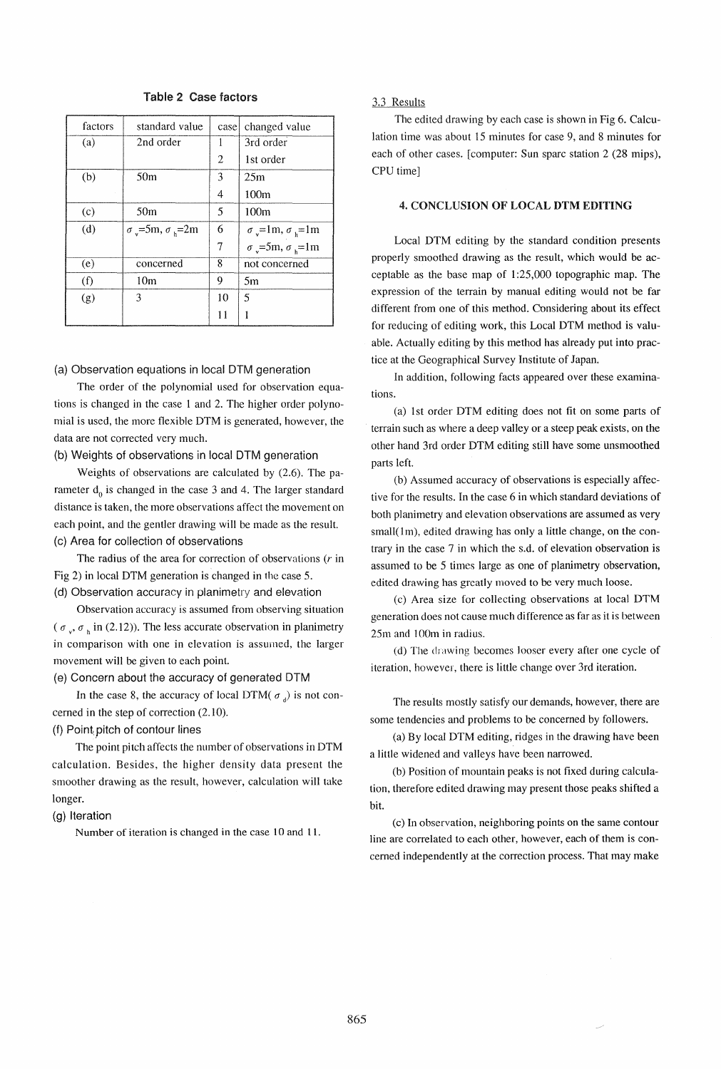| factors | standard value                         | case | changed value                              |
|---------|----------------------------------------|------|--------------------------------------------|
| (a)     | 2nd order                              |      | 3rd order                                  |
|         |                                        | 2    | 1st order                                  |
| (b)     | 50 <sub>m</sub>                        | 3    | 25m                                        |
|         |                                        | 4    | 100m                                       |
| (c)     | 50 <sub>m</sub>                        | 5    | 100 <sub>m</sub>                           |
| (d)     | $\sigma_{\nu}$ =5m, $\sigma_{\nu}$ =2m | 6    | $\sigma_{\rm v}$ =1m, $\sigma_{\rm h}$ =1m |
|         |                                        | 7    | $\sigma_v$ =5m, $\sigma_v$ =1m             |
| (e)     | concerned                              | 8    | not concerned                              |
| (f)     | 10 <sub>m</sub>                        | 9    | 5m                                         |
| (g)     | 3                                      | 10   | 5                                          |
|         |                                        | 11   |                                            |

# Table 2 Case factors

### (a) Observation equations in local DTM generation

The order of the polynomial used for observation equations is changed in the case 1 and 2. The higher order polynomial is used, the more flexible DTM is generated, however, the data are not corrected very much.

### (b) Weights of observations in local DTM generation

Weights of observations are calculated by (2.6). The parameter  $d_0$  is changed in the case 3 and 4. The larger standard distance is taken, the more observations affect the movement on each point, and the gentler drawing will be made as the result. (c) Area for collection of observations

The radius of the area for correction of observations  $(r \text{ in }$ Fig 2) in local DTM generation is changed in the case S.

(d) Observation accuracy in planimetry and elevation

Observation accuracy is assumed from observing situation ( $\sigma_v$ ,  $\sigma_h$  in (2.12)). The less accurate observation in planimetry in comparison with one in elevation is assumed, the larger movement will be given to each point.

## (e) Concern about the accuracy of generated DTM

In the case 8, the accuracy of local DTM( $\sigma$ ) is not concerned in the step of correction (2.10).

# (f) Point pitch of contour lines

The point pitch affects the number of observations in DTM calculation. Besides, the higher density data present the smoother drawing as the result, however, calculation will take longer.

### (g) Iteration

Number of iteration is changed in the case 10 and 11.

### 3.3 Results

The edited drawing by each case is shown in Fig 6. Calculation time was about IS minutes for case 9, and 8 minutes for each of other cases. [computer: Sun sparc station 2 (28 mips), CPU time]

# 4. CONCLUSION OF LOCAL DTM EDITING

Local DTM editing by the standard condition presents properly smoothed drawing as the result, which would be acceptable as the base map of 1 :25,000 topographic map. The expression of the terrain by manual editing would not be far different from one of this method. Considering about its effect for reducing of editing work, this Local DTM method is valuable. Actually editing by this method has already put into practice at the Geographical Survey Institute of Japan.

In addition, following facts appeared over these examinations.

(a) 1st order DTM editing does not fit on some parts of terrain such as where a deep valley or a steep peak exists, on the other hand 3rd order DTM editing still have some unsmoothed parts left.

(b) Assumed accuracy of observations is especially affective for the results. In the case 6 in which standard deviations of both planimetry and elevation observations are assumed as very small $(1<sub>m</sub>)$ , edited drawing has only a little change, on the contrary in the case 7 in which the s.d. of elevation observation is assumed to be S times large as one of planimetry observation, edited drawing has greatly moved to be very much loose.

(c) Area size for collecting observations at local DTM generation does not cause much difference as far as it is between 2Sm and 100m in radius.

(d) The drawing becomes looser every after one cycle of iteration, however, there is little change over 3rd iteration.

The results mostly satisfy our demands, however, there are some tendencies and problems to be concerned by followers.

(a) By local DTM editing, ridges in the drawing have been a little widened and valleys have been narrowed.

(b) Position of mountain peaks is not fixed during calculation, therefore edited drawing may present those peaks shifted a bit.

(c) In observation, neighboring points on the same contour line are correlated to each other, however, each of them is concerned independently at the correction process. That may make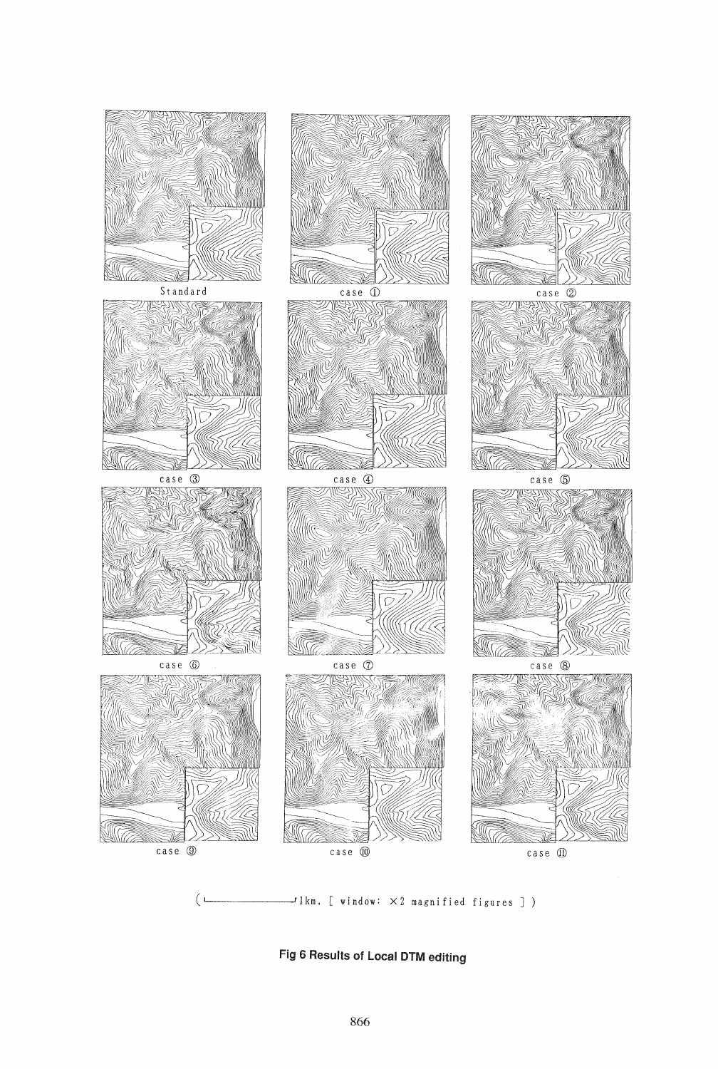

 $\mathcal{I}$ lkm, [ window:  $\times$  2 magnified figures ] )

Fig 6 Results of Local DTM editing